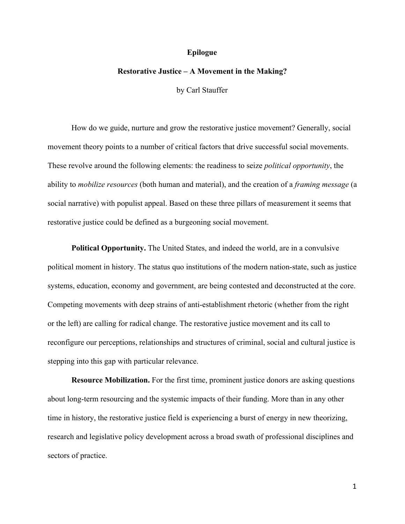## **Epilogue**

## **Restorative Justice – A Movement in the Making?**

by Carl Stauffer

How do we guide, nurture and grow the restorative justice movement? Generally, social movement theory points to a number of critical factors that drive successful social movements. These revolve around the following elements: the readiness to seize *political opportunity*, the ability to *mobilize resources* (both human and material), and the creation of a *framing message* (a social narrative) with populist appeal. Based on these three pillars of measurement it seems that restorative justice could be defined as a burgeoning social movement.

**Political Opportunity.** The United States, and indeed the world, are in a convulsive political moment in history. The status quo institutions of the modern nation-state, such as justice systems, education, economy and government, are being contested and deconstructed at the core. Competing movements with deep strains of anti-establishment rhetoric (whether from the right or the left) are calling for radical change. The restorative justice movement and its call to reconfigure our perceptions, relationships and structures of criminal, social and cultural justice is stepping into this gap with particular relevance.

**Resource Mobilization.** For the first time, prominent justice donors are asking questions about long-term resourcing and the systemic impacts of their funding. More than in any other time in history, the restorative justice field is experiencing a burst of energy in new theorizing, research and legislative policy development across a broad swath of professional disciplines and sectors of practice.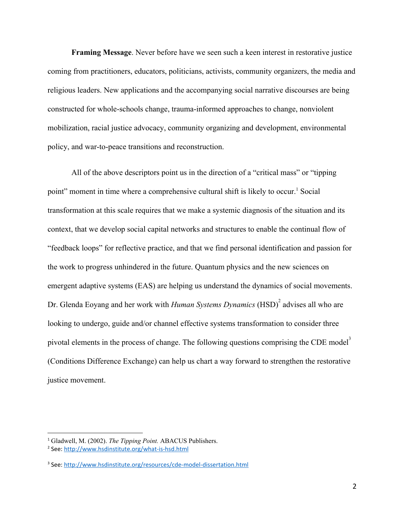**Framing Message**. Never before have we seen such a keen interest in restorative justice coming from practitioners, educators, politicians, activists, community organizers, the media and religious leaders. New applications and the accompanying social narrative discourses are being constructed for whole-schools change, trauma-informed approaches to change, nonviolent mobilization, racial justice advocacy, community organizing and development, environmental policy, and war-to-peace transitions and reconstruction.

All of the above descriptors point us in the direction of a "critical mass" or "tipping point" moment in time where a comprehensive cultural shift is likely to occur.<sup>1</sup> Social transformation at this scale requires that we make a systemic diagnosis of the situation and its context, that we develop social capital networks and structures to enable the continual flow of "feedback loops" for reflective practice, and that we find personal identification and passion for the work to progress unhindered in the future. Quantum physics and the new sciences on emergent adaptive systems (EAS) are helping us understand the dynamics of social movements. Dr. Glenda Eoyang and her work with *Human Systems Dynamics* (HSD)<sup>2</sup> advises all who are looking to undergo, guide and/or channel effective systems transformation to consider three pivotal elements in the process of change. The following questions comprising the CDE model<sup>3</sup> (Conditions Difference Exchange) can help us chart a way forward to strengthen the restorative justice movement.

<sup>1</sup> Gladwell, M. (2002). *The Tipping Point.* ABACUS Publishers.

<sup>2</sup> See: <http://www.hsdinstitute.org/what-is-hsd.html>

<sup>3</sup> See: <http://www.hsdinstitute.org/resources/cde-model-dissertation.html>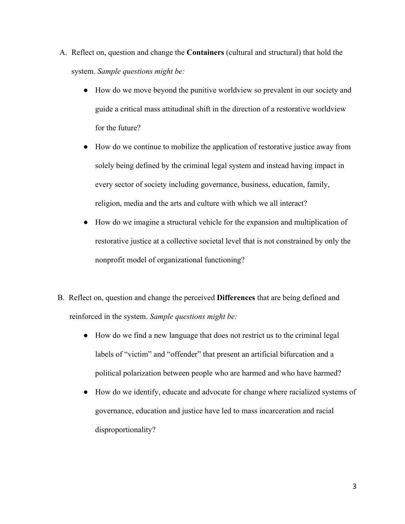- A. Reflect on, question and change the **Containers** (cultural and structural) that hold the system. *Sample questions might be:*
	- How do we move beyond the punitive worldview so prevalent in our society and guide a critical mass attitudinal shift in the direction of a restorative worldview for the future?
	- How do we continue to mobilize the application of restorative justice away from solely being defined by the criminal legal system and instead having impact in every sector of society including governance, business, education, family, religion, media and the arts and culture with which we all interact?
	- How do we imagine a structural vehicle for the expansion and multiplication of restorative justice at a collective societal level that is not constrained by only the nonprofit model of organizational functioning?
- B. Reflect on, question and change the perceived **Differences** that are being defined and reinforced in the system. *Sample questions might be:*
	- How do we find a new language that does not restrict us to the criminal legal labels of "victim" and "offender" that present an artificial bifurcation and a political polarization between people who are harmed and who have harmed?
	- How do we identify, educate and advocate for change where racialized systems of governance, education and justice have led to mass incarceration and racial disproportionality?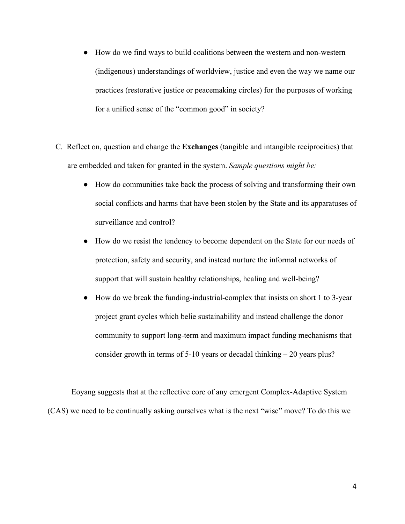- How do we find ways to build coalitions between the western and non-western (indigenous) understandings of worldview, justice and even the way we name our practices (restorative justice or peacemaking circles) for the purposes of working for a unified sense of the "common good" in society?
- C. Reflect on, question and change the **Exchanges** (tangible and intangible reciprocities) that are embedded and taken for granted in the system. *Sample questions might be:*
	- How do communities take back the process of solving and transforming their own social conflicts and harms that have been stolen by the State and its apparatuses of surveillance and control?
	- How do we resist the tendency to become dependent on the State for our needs of protection, safety and security, and instead nurture the informal networks of support that will sustain healthy relationships, healing and well-being?
	- How do we break the funding-industrial-complex that insists on short 1 to 3-year project grant cycles which belie sustainability and instead challenge the donor community to support long-term and maximum impact funding mechanisms that consider growth in terms of 5-10 years or decadal thinking – 20 years plus?

Eoyang suggests that at the reflective core of any emergent Complex-Adaptive System (CAS) we need to be continually asking ourselves what is the next "wise" move? To do this we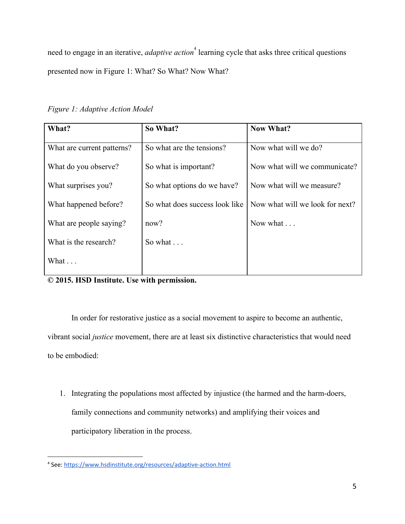need to engage in an iterative, *adaptive action*<sup>4</sup> learning cycle that asks three critical questions presented now in Figure 1: What? So What? Now What?

*Figure 1: Adaptive Action Model*

| What?                      | So What?                       | <b>Now What?</b>                |
|----------------------------|--------------------------------|---------------------------------|
| What are current patterns? | So what are the tensions?      | Now what will we do?            |
| What do you observe?       | So what is important?          | Now what will we communicate?   |
| What surprises you?        | So what options do we have?    | Now what will we measure?       |
| What happened before?      | So what does success look like | Now what will we look for next? |
| What are people saying?    | now?                           | Now what                        |
| What is the research?      | So what $\ldots$               |                                 |
| What                       |                                |                                 |
|                            |                                |                                 |

**© 2015. HSD Institute. Use with permission.**

In order for restorative justice as a social movement to aspire to become an authentic, vibrant social *justice* movement, there are at least six distinctive characteristics that would need to be embodied:

1. Integrating the populations most affected by injustice (the harmed and the harm-doers, family connections and community networks) and amplifying their voices and participatory liberation in the process.

<sup>4</sup> See: <https://www.hsdinstitute.org/resources/adaptive-action.html>